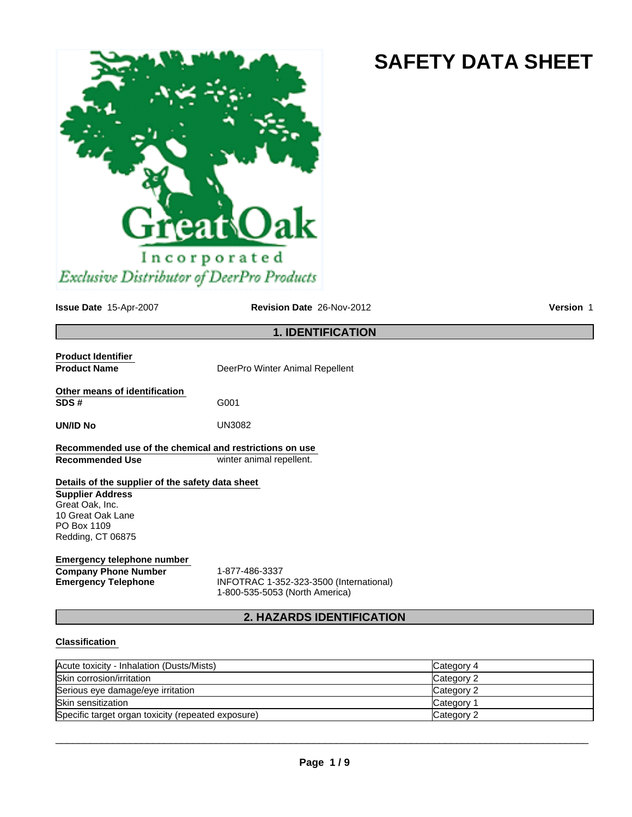# **SAFETY DATA SHEET**



**Issue Date** 15-Apr-2007

**Revision Date** 26-Nov-2012 **Version** 1

## **1. IDENTIFICATION**

| <b>Product Identifier</b>                               |                                 |
|---------------------------------------------------------|---------------------------------|
| <b>Product Name</b>                                     | DeerPro Winter Animal Repellent |
| Other means of identification                           |                                 |
| SDS#                                                    | G001                            |
| UN/ID No                                                | UN3082                          |
| Recommended use of the chemical and restrictions on use |                                 |
| Recommended Use                                         | winter animal repellent.        |
| Details of the supplier of the safety data sheet        |                                 |
| <b>Supplier Address</b>                                 |                                 |
| Great Oak, Inc.                                         |                                 |
| 10 Great Oak Lane                                       |                                 |
| PO Box 1109                                             |                                 |
| Redding, CT 06875                                       |                                 |
|                                                         |                                 |

## **Emergency telephone number Company Phone Number** 1-877-486-3337

**Emergency Telephone** INFOTRAC 1-352-323-3500 (International) 1-800-535-5053 (North America)

## **2. HAZARDS IDENTIFICATION**

## **Classification**

| Acute toxicity - Inhalation (Dusts/Mists)          | Category 4 |
|----------------------------------------------------|------------|
| Skin corrosion/irritation                          | Category 2 |
| Serious eye damage/eye irritation                  | Category 2 |
| <b>Skin sensitization</b>                          | Category 1 |
| Specific target organ toxicity (repeated exposure) | Category 2 |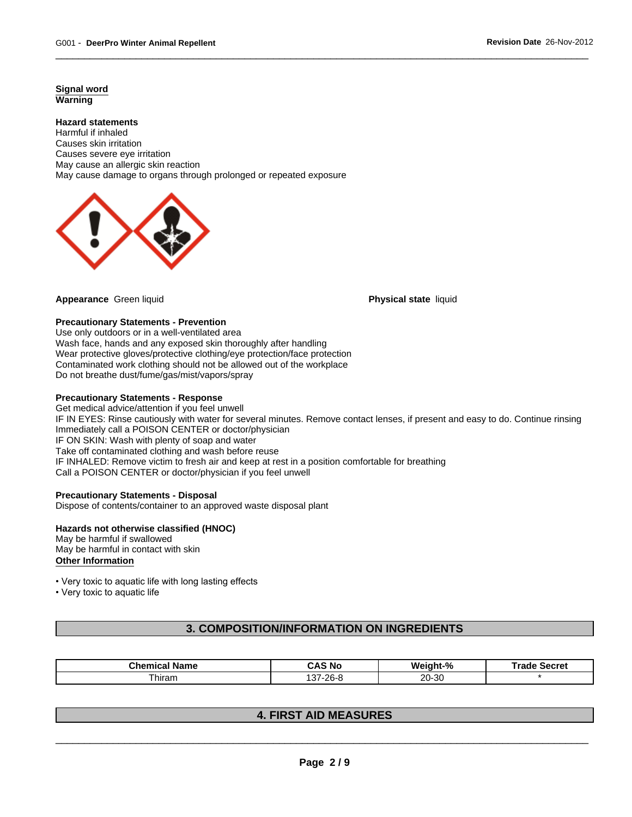**Signal word Warning**

#### **Hazard statements**

Harmful if inhaled Causes skin irritation Causes severe eye irritation May cause an allergic skin reaction May cause damage to organs through prolonged or repeated exposure



**Appearance** Green liquid **Physical state** liquid

#### **Precautionary Statements - Prevention**

Use only outdoors or in a well-ventilated area Wash face, hands and any exposed skin thoroughly after handling Wear protective gloves/protective clothing/eye protection/face protection Contaminated work clothing should not be allowed out of the workplace Do not breathe dust/fume/gas/mist/vapors/spray

#### **Precautionary Statements - Response**

Get medical advice/attention if you feel unwell IF IN EYES: Rinse cautiously with water for several minutes. Remove contact lenses, if present and easy to do. Continue rinsing Immediately call a POISON CENTER or doctor/physician IF ON SKIN: Wash with plenty of soap and water Take off contaminated clothing and wash before reuse IF INHALED: Remove victim to fresh air and keep at rest in a position comfortable for breathing Call a POISON CENTER or doctor/physician if you feel unwell

#### **Precautionary Statements - Disposal**

Dispose of contents/container to an approved waste disposal plant

#### **Hazards not otherwise classified (HNOC)** May be harmful if swallowed

May be harmful in contact with skin **Other Information**

• Very toxic to aquatic life with long lasting effects

• Very toxic to aquatic life

## **3. COMPOSITION/INFORMATION ON INGREDIENTS**

| . .<br>:hem<br><b>Name</b><br>-11116 | <b>AS No</b>         | W۵<br>nht-% | <b>Sooral</b><br>---<br><b>Secret</b> |
|--------------------------------------|----------------------|-------------|---------------------------------------|
| --<br>hiram                          | 8-26≀<br>$\sim$<br>ີ | 20-30       |                                       |

## **4. FIRST AID MEASURES**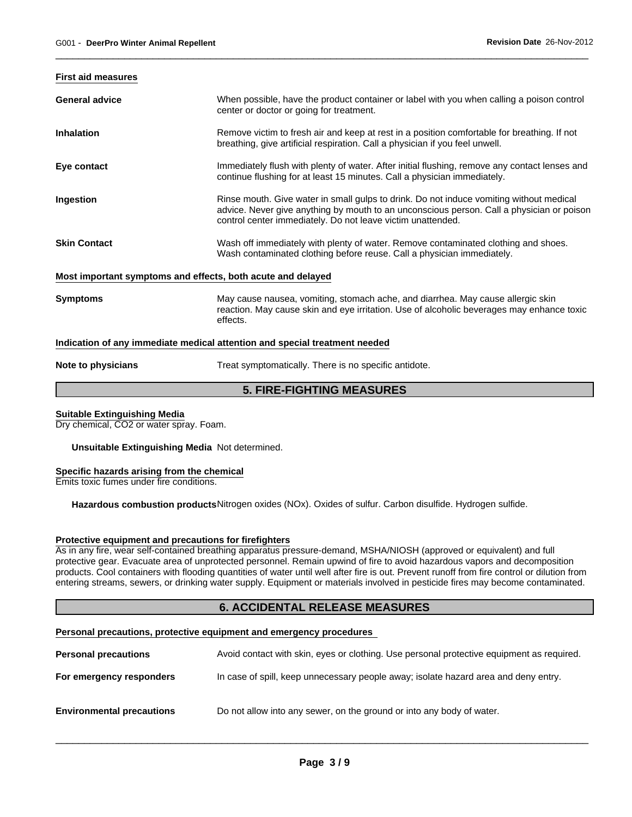#### **First aid measures**

| <b>General advice</b>                                       | When possible, have the product container or label with you when calling a poison control<br>center or doctor or going for treatment.                                                                                                               |
|-------------------------------------------------------------|-----------------------------------------------------------------------------------------------------------------------------------------------------------------------------------------------------------------------------------------------------|
| <b>Inhalation</b>                                           | Remove victim to fresh air and keep at rest in a position comfortable for breathing. If not<br>breathing, give artificial respiration. Call a physician if you feel unwell.                                                                         |
| Eye contact                                                 | Immediately flush with plenty of water. After initial flushing, remove any contact lenses and<br>continue flushing for at least 15 minutes. Call a physician immediately.                                                                           |
| Ingestion                                                   | Rinse mouth. Give water in small gulps to drink. Do not induce vomiting without medical<br>advice. Never give anything by mouth to an unconscious person. Call a physician or poison<br>control center immediately. Do not leave victim unattended. |
| <b>Skin Contact</b>                                         | Wash off immediately with plenty of water. Remove contaminated clothing and shoes.<br>Wash contaminated clothing before reuse. Call a physician immediately.                                                                                        |
| Most important symptoms and effects, both acute and delayed |                                                                                                                                                                                                                                                     |
| <b>Symptoms</b>                                             | May cause nausea, vomiting, stomach ache, and diarrhea. May cause allergic skin<br>reaction. May cause skin and eye irritation. Use of alcoholic beverages may enhance toxic<br>effects.                                                            |
|                                                             | Indication of any immediate medical attention and special treatment needed                                                                                                                                                                          |

**Note to physicians** Treat symptomatically. There is no specific antidote.

## **5. FIRE-FIGHTING MEASURES**

#### **Suitable Extinguishing Media**

Dry chemical, CO2 or water spray. Foam.

**Unsuitable Extinguishing Media** Not determined.

#### **Specific hazards arising from the chemical**

Emits toxic fumes under fire conditions.

**Hazardous combustion products**Nitrogen oxides (NOx). Oxides of sulfur. Carbon disulfide. Hydrogen sulfide.

### **Protective equipment and precautions for firefighters**

As in any fire, wear self-contained breathing apparatus pressure-demand, MSHA/NIOSH (approved or equivalent) and full protective gear. Evacuate area of unprotected personnel. Remain upwind of fire to avoid hazardous vapors and decomposition products. Cool containers with flooding quantities of water until well after fire is out. Prevent runoff from fire control or dilution from entering streams, sewers, or drinking water supply. Equipment or materials involved in pesticide fires may become contaminated.

## **6. ACCIDENTAL RELEASE MEASURES**

#### **Personal precautions, protective equipment and emergency procedures**

| <b>Personal precautions</b>      | Avoid contact with skin, eyes or clothing. Use personal protective equipment as required. |
|----------------------------------|-------------------------------------------------------------------------------------------|
| For emergency responders         | In case of spill, keep unnecessary people away; isolate hazard area and deny entry.       |
| <b>Environmental precautions</b> | Do not allow into any sewer, on the ground or into any body of water.                     |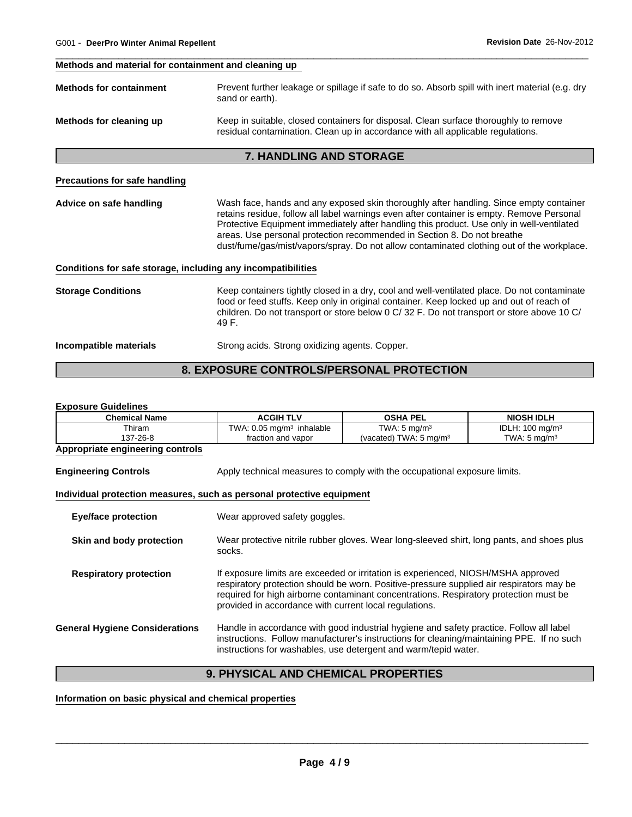#### **Methods and material for containment and cleaning up**

| <b>Methods for containment</b> | Prevent further leakage or spillage if safe to do so. Absorb spill with inert material (e.g. dry<br>sand or earth).                                                     |
|--------------------------------|-------------------------------------------------------------------------------------------------------------------------------------------------------------------------|
| Methods for cleaning up        | Keep in suitable, closed containers for disposal. Clean surface thoroughly to remove<br>residual contamination. Clean up in accordance with all applicable regulations. |

## **7. HANDLING AND STORAGE**

#### **Precautions for safe handling**

**Advice on safe handling** Wash face, hands and any exposed skin thoroughly after handling. Since empty container retains residue, follow all label warnings even after container is empty. Remove Personal Protective Equipment immediately after handling this product. Use only in well-ventilated areas. Use personal protection recommended in Section 8. Do not breathe dust/fume/gas/mist/vapors/spray. Do not allow contaminated clothing out of the workplace.

#### **Conditions for safe storage, including any incompatibilities**

| <b>Storage Conditions</b> | Keep containers tightly closed in a dry, cool and well-ventilated place. Do not contaminate<br>food or feed stuffs. Keep only in original container. Keep locked up and out of reach of<br>children. Do not transport or store below 0 C/ 32 F. Do not transport or store above 10 C/<br>49 F. |
|---------------------------|------------------------------------------------------------------------------------------------------------------------------------------------------------------------------------------------------------------------------------------------------------------------------------------------|
| Incompatible materials    | Strong acids. Strong oxidizing agents. Copper.                                                                                                                                                                                                                                                 |

## **8. EXPOSURE CONTROLS/PERSONAL PROTECTION**

#### **Exposure Guidelines**

| <b>Chemical Name</b>                                                  | <b>ACGIH TLV</b>                                                                                                                                                                                                                                                                                                                 | <b>OSHA PEL</b>                   | <b>NIOSH IDLH</b>          |  |  |
|-----------------------------------------------------------------------|----------------------------------------------------------------------------------------------------------------------------------------------------------------------------------------------------------------------------------------------------------------------------------------------------------------------------------|-----------------------------------|----------------------------|--|--|
| Thiram                                                                | TWA: $0.05 \text{ mg/m}^3$ inhalable                                                                                                                                                                                                                                                                                             | TWA: $5 \text{ mg/m}^3$           | IDLH: $100 \text{ mg/m}^3$ |  |  |
| 137-26-8                                                              | fraction and vapor                                                                                                                                                                                                                                                                                                               | (vacated) TWA: $5 \text{ mg/m}^3$ | TWA: $5 \text{ mg/m}^3$    |  |  |
| Appropriate engineering controls                                      |                                                                                                                                                                                                                                                                                                                                  |                                   |                            |  |  |
| <b>Engineering Controls</b>                                           | Apply technical measures to comply with the occupational exposure limits.                                                                                                                                                                                                                                                        |                                   |                            |  |  |
| Individual protection measures, such as personal protective equipment |                                                                                                                                                                                                                                                                                                                                  |                                   |                            |  |  |
| <b>Eye/face protection</b>                                            | Wear approved safety goggles.                                                                                                                                                                                                                                                                                                    |                                   |                            |  |  |
| Skin and body protection                                              | Wear protective nitrile rubber gloves. Wear long-sleeved shirt, long pants, and shoes plus<br>socks.                                                                                                                                                                                                                             |                                   |                            |  |  |
| <b>Respiratory protection</b>                                         | If exposure limits are exceeded or irritation is experienced, NIOSH/MSHA approved<br>respiratory protection should be worn. Positive-pressure supplied air respirators may be<br>required for high airborne contaminant concentrations. Respiratory protection must be<br>provided in accordance with current local regulations. |                                   |                            |  |  |
| <b>General Hygiene Considerations</b>                                 | Handle in accordance with good industrial hygiene and safety practice. Follow all label<br>instructions. Follow manufacturer's instructions for cleaning/maintaining PPE. If no such<br>instructions for washables, use detergent and warm/tepid water.                                                                          |                                   |                            |  |  |

## **9. PHYSICAL AND CHEMICAL PROPERTIES**

## **Information on basic physical and chemical properties**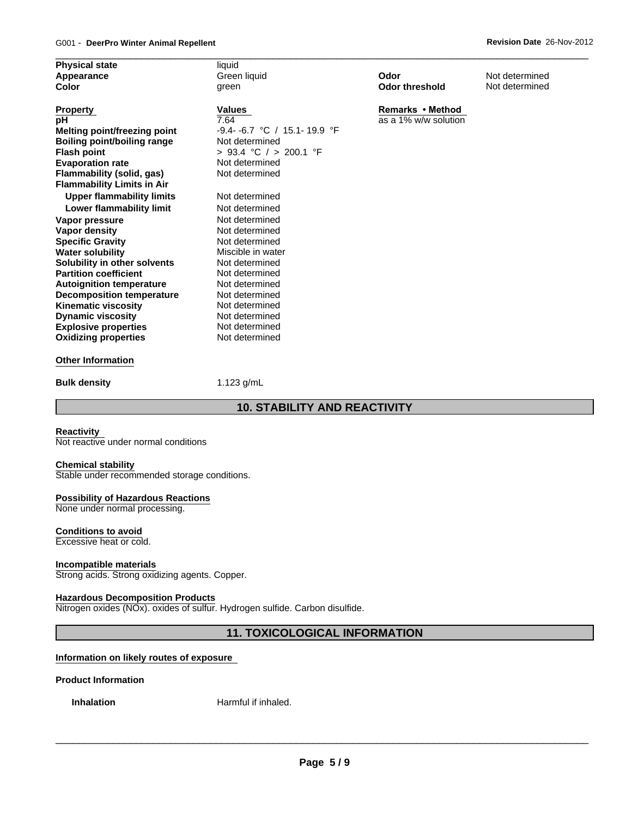| <b>Physical state</b>              | liquid                         |                       |                |  |
|------------------------------------|--------------------------------|-----------------------|----------------|--|
| Appearance                         | Green liquid                   | Odor                  | Not determined |  |
| <b>Color</b>                       | green                          | <b>Odor threshold</b> | Not determined |  |
| <b>Property</b>                    | <b>Values</b>                  | Remarks • Method      |                |  |
| рH                                 | 7.64                           | as a 1% w/w solution  |                |  |
| Melting point/freezing point       | $-9.4 - 6.7$ °C / 15.1-19.9 °F |                       |                |  |
| <b>Boiling point/boiling range</b> | Not determined                 |                       |                |  |
| <b>Flash point</b>                 | > 93.4 °C / > 200.1 °F         |                       |                |  |
| <b>Evaporation rate</b>            | Not determined                 |                       |                |  |
| <b>Flammability (solid, gas)</b>   | Not determined                 |                       |                |  |
| <b>Flammability Limits in Air</b>  |                                |                       |                |  |
| <b>Upper flammability limits</b>   | Not determined                 |                       |                |  |
| Lower flammability limit           | Not determined                 |                       |                |  |
| Vapor pressure                     | Not determined                 |                       |                |  |
| Vapor density                      | Not determined                 |                       |                |  |
| <b>Specific Gravity</b>            | Not determined                 |                       |                |  |
| <b>Water solubility</b>            | Miscible in water              |                       |                |  |
| Solubility in other solvents       | Not determined                 |                       |                |  |
| <b>Partition coefficient</b>       | Not determined                 |                       |                |  |
| <b>Autoignition temperature</b>    | Not determined                 |                       |                |  |
| <b>Decomposition temperature</b>   | Not determined                 |                       |                |  |
| <b>Kinematic viscosity</b>         | Not determined                 |                       |                |  |
| <b>Dynamic viscosity</b>           | Not determined                 |                       |                |  |
| <b>Explosive properties</b>        | Not determined                 |                       |                |  |
| <b>Oxidizing properties</b>        | Not determined                 |                       |                |  |

#### **Bulk density** 1.123 g/mL

## **10. STABILITY AND REACTIVITY**

#### **Reactivity**

Not reactive under normal conditions

#### **Chemical stability**

Stable under recommended storage conditions.

#### **Possibility of Hazardous Reactions**

None under normal processing.

#### **Conditions to avoid**

Excessive heat or cold.

#### **Incompatible materials**

Strong acids. Strong oxidizing agents. Copper.

#### **Hazardous Decomposition Products**

Nitrogen oxides (NOx). oxides of sulfur. Hydrogen sulfide. Carbon disulfide.

## **11. TOXICOLOGICAL INFORMATION**

### **Information on likely routes of exposure**

#### **Product Information**

**Inhalation** Harmful if inhaled.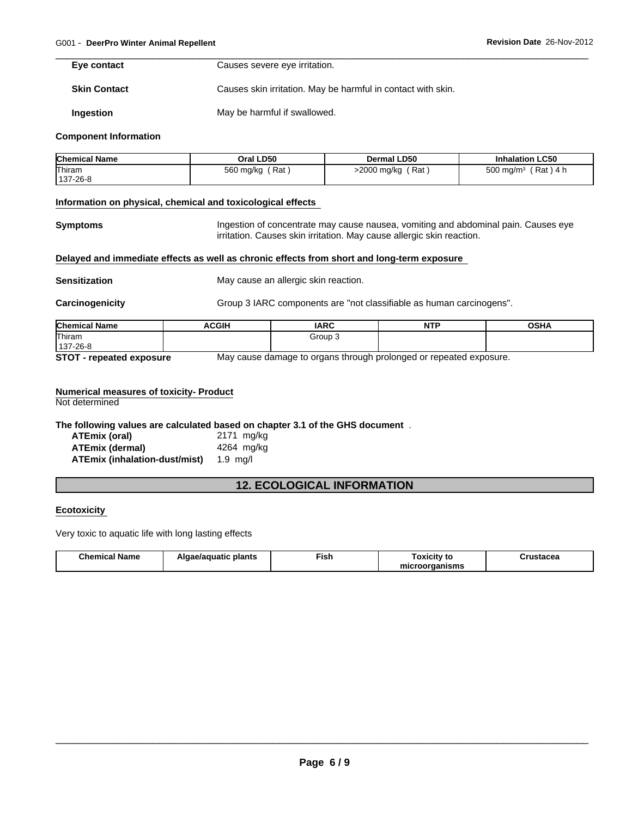**Eye contact**

Causes severe eye irritation.

**Skin Contact** Causes skin irritation. May be harmful in contact with skin.

**Ingestion** May be harmful if swallowed.

#### **Component Information**

| <b>Chemical Name</b> | Oral LD50                 | <b>Dermal LD50</b> | <b>Inhalation LC50</b>        |
|----------------------|---------------------------|--------------------|-------------------------------|
| Thiram<br>137-26-8   | ' Rat<br>560 mg/kg<br>. . | Rat<br>>2000 mg/kg | \ 4 h<br>500 mg/m $3$<br>Rat) |

#### **Information on physical, chemical and toxicological effects**

**Symptoms Ingestion of concentrate may cause nausea, vomiting and abdominal pain. Causes eye** irritation. Causes skin irritation. May cause allergic skin reaction.

#### **Delayed and immediate effects as well as chronic effects from short and long-term exposure**

**Sensitization** May cause an allergic skin reaction.

**Carcinogenicity** Group 3 IARC components are "not classifiable as human carcinogens".

| <b>Chemical Name</b>                                                                                   | <b>ACGIH</b> | IARC    | <b>NTF</b> | <b>OSHA</b> |
|--------------------------------------------------------------------------------------------------------|--------------|---------|------------|-------------|
| Thiram                                                                                                 |              | Group 3 |            |             |
| 137-26-8                                                                                               |              |         |            |             |
| <b>CTAT</b><br>Mou cause demoge to ergene through prolenged or repeated ovposure<br>EXERCISE AVERAGINA |              |         |            |             |

**STOT - repeated exposure** May cause damage to organs through prolonged or repeated exposure.

## **Numerical measures of toxicity- Product**

Not determined

**The following values are calculated based on chapter 3.1 of the GHS document** .

| ATEmix (oral)                 | 2171 mg/kg |
|-------------------------------|------------|
| ATEmix (dermal)               | 4264 mg/kg |
| ATEmix (inhalation-dust/mist) | 1.9 ma/l   |

## **12. ECOLOGICAL INFORMATION**

#### **Ecotoxicity**

Very toxic to aquatic life with long lasting effects

| <b>Chemical Name</b> | plants<br>Algae/aguatic | --<br>'−ısh | oxicit<br>'v to     | Crustacea |
|----------------------|-------------------------|-------------|---------------------|-----------|
|                      |                         |             | ≅≏^rganisms<br>mır. |           |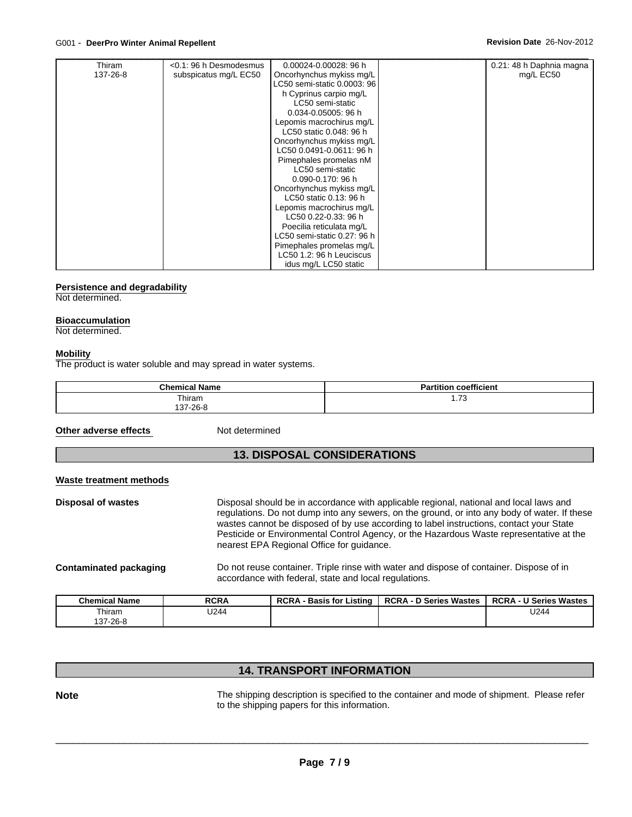| Thiram   | <0.1: 96 h Desmodesmus | 0.00024-0.00028: 96 h       | 0.21: 48 h Daphnia magna |  |
|----------|------------------------|-----------------------------|--------------------------|--|
| 137-26-8 | subspicatus mg/L EC50  | Oncorhynchus mykiss mg/L    | mg/L EC50                |  |
|          |                        | LC50 semi-static 0.0003: 96 |                          |  |
|          |                        | h Cyprinus carpio mg/L      |                          |  |
|          |                        | LC50 semi-static            |                          |  |
|          |                        | 0.034-0.05005: 96 h         |                          |  |
|          |                        | Lepomis macrochirus mg/L    |                          |  |
|          |                        | LC50 static 0.048: 96 h     |                          |  |
|          |                        | Oncorhynchus mykiss mg/L    |                          |  |
|          |                        | LC50 0.0491-0.0611: 96 h    |                          |  |
|          |                        | Pimephales promelas nM      |                          |  |
|          |                        | LC50 semi-static            |                          |  |
|          |                        | 0.090-0.170: 96 h           |                          |  |
|          |                        | Oncorhynchus mykiss mg/L    |                          |  |
|          |                        | LC50 static 0.13: 96 h      |                          |  |
|          |                        | Lepomis macrochirus mg/L    |                          |  |
|          |                        | LC50 0.22-0.33: 96 h        |                          |  |
|          |                        | Poecilia reticulata mg/L    |                          |  |
|          |                        | LC50 semi-static 0.27: 96 h |                          |  |
|          |                        | Pimephales promelas mg/L    |                          |  |
|          |                        | LC50 1.2: 96 h Leuciscus    |                          |  |
|          |                        | idus mg/L LC50 static       |                          |  |

#### **Persistence and degradability**

Not determined.

#### **Bioaccumulation**

Not determined.

#### **Mobility**

The product is water soluble and may spread in water systems.

| <b>Chemical Name</b> | <b>Partition coefficient</b> |
|----------------------|------------------------------|
| Thiram               | $\overline{z}$               |
| 137-26-8             | ن ، ، ،                      |

**Other adverse effects** 

Not determined

## **13. DISPOSAL CONSIDERATIONS**

#### **Waste treatment methods**

**Disposal of wastes** Disposal should be in accordance with applicable regional, national and local laws and regulations. Do not dump into any sewers, on the ground, or into any body of water. If these wastes cannot be disposed of by use according to label instructions, contact your State Pesticide or Environmental Control Agency, or the Hazardous Waste representative at the nearest EPA Regional Office for guidance.

**Contaminated packaging** Do not reuse container. Triple rinse with water and dispose of container. Dispose of in accordance with federal, state and local regulations.

| <b>Chemical Name</b> | <b>RCRA</b> | <b>RCRA</b><br><b>Basis for Listing</b> | <b>RCRA - D Series Wastes</b> | <b>RCRA - U Series Wastes</b> |
|----------------------|-------------|-----------------------------------------|-------------------------------|-------------------------------|
| ⊺hiram               | U244        |                                         |                               | U244                          |
| 137-26-8             |             |                                         |                               |                               |

## **14. TRANSPORT INFORMATION**

**Note** The shipping description is specified to the container and mode of shipment. Please refer to the shipping papers for this information.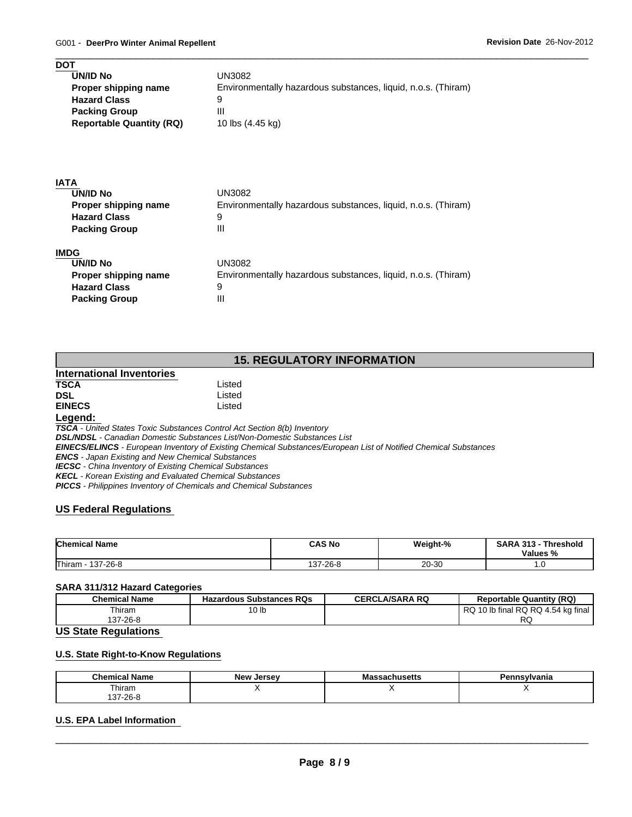| <b>DOT</b><br><b>UN/ID No</b>   | UN3082                                                        |
|---------------------------------|---------------------------------------------------------------|
| Proper shipping name            | Environmentally hazardous substances, liquid, n.o.s. (Thiram) |
| <b>Hazard Class</b>             | 9                                                             |
| <b>Packing Group</b>            | Ш                                                             |
| <b>Reportable Quantity (RQ)</b> | 10 lbs (4.45 kg)                                              |
|                                 |                                                               |
| <b>IATA</b>                     |                                                               |
| <b>UN/ID No</b>                 | <b>UN3082</b>                                                 |
| Proper shipping name            | Environmentally hazardous substances, liquid, n.o.s. (Thiram) |
| <b>Hazard Class</b>             | 9                                                             |
| <b>Packing Group</b>            | $\mathbf{III}$                                                |
| <b>IMDG</b>                     |                                                               |
| <b>UN/ID No</b>                 | <b>UN3082</b>                                                 |
| Proper shipping name            | Environmentally hazardous substances, liquid, n.o.s. (Thiram) |
| <b>Hazard Class</b>             | 9                                                             |
| <b>Packing Group</b>            | Ш                                                             |

## **15. REGULATORY INFORMATION**

|                           | 19. REGULATURT INI URMATIUN                                                |  |
|---------------------------|----------------------------------------------------------------------------|--|
| International Inventories |                                                                            |  |
| <b>TSCA</b>               | Listed                                                                     |  |
| DSL                       | Listed                                                                     |  |
| <b>EINECS</b>             | Listed                                                                     |  |
| Legend:                   |                                                                            |  |
|                           | TSCA - United States Toxic Substances Control Act Section 8(b) Inventory   |  |
|                           | DSI INDSI - Canadian Domestic Substances List/Non-Domestic Substances List |  |

*DSL/NDSL - Canadian Domestic Substances List/Non-Domestic Substances List EINECS/ELINCS - European Inventory of Existing Chemical Substances/European List of Notified Chemical Substances*

*ENCS - Japan Existing and New Chemical Substances*

*IECSC - China Inventory of Existing Chemical Substances*

*KECL - Korean Existing and Evaluated Chemical Substances*

*PICCS - Philippines Inventory of Chemicals and Chemical Substances*

## **US Federal Regulations**

| <b>Chemical Name</b> | <b>CAS No</b> | Weight-%  | SARA<br>313<br>Threshold<br>Values<br>70 |
|----------------------|---------------|-----------|------------------------------------------|
| Thiram<br>137-26-8   | $37-26-8$     | $20 - 30$ | .                                        |

#### **SARA 311/312 Hazard Categories**

| <b>Chemical Name</b> | <b>Hazardous Substances RQs</b> | <b>CERCLA/SARA RQ</b> | <b>Reportable Quantity (RQ)</b>       |
|----------------------|---------------------------------|-----------------------|---------------------------------------|
| Thiram               | ັບ ເນ                           |                       | 10 lb final RQ RQ 4.54 kg final<br>RQ |
| 137-26-8             |                                 |                       | DC<br>へい                              |

#### **US State Regulations**

## **U.S. State Right-to-Know Regulations**

| <b>Chemical Name</b>                | New,<br>Jersev | 1100<br>⊶⊶adullusctta | ≌ennsvlvania |
|-------------------------------------|----------------|-----------------------|--------------|
| Thiram                              |                |                       |              |
| $\sim$ no r<br>$\sim$<br>، 20- / د، |                |                       |              |

## **U.S. EPA Label Information**